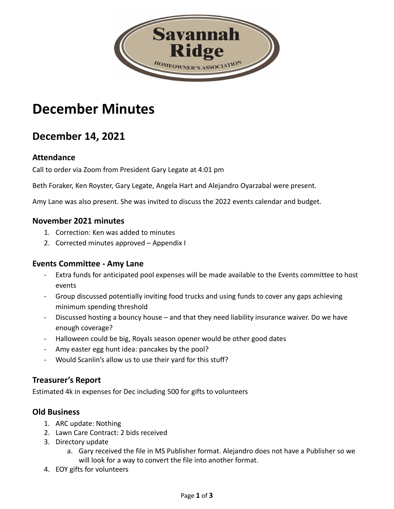

# **December Minutes**

## **December 14, 2021**

#### **Attendance**

Call to order via Zoom from President Gary Legate at 4:01 pm

Beth Foraker, Ken Royster, Gary Legate, Angela Hart and Alejandro Oyarzabal were present.

Amy Lane was also present. She was invited to discuss the 2022 events calendar and budget.

#### **November 2021 minutes**

- 1. Correction: Ken was added to minutes
- 2. Corrected minutes approved Appendix I

#### **Events Committee - Amy Lane**

- Extra funds for anticipated pool expenses will be made available to the Events committee to host events
- Group discussed potentially inviting food trucks and using funds to cover any gaps achieving minimum spending threshold
- Discussed hosting a bouncy house and that they need liability insurance waiver. Do we have enough coverage?
- Halloween could be big, Royals season opener would be other good dates
- Amy easter egg hunt idea: pancakes by the pool?
- Would Scanlin's allow us to use their yard for this stuff?

#### **Treasurer's Report**

Estimated 4k in expenses for Dec including 500 for gifts to volunteers

#### **Old Business**

- 1. ARC update: Nothing
- 2. Lawn Care Contract: 2 bids received
- 3. Directory update
	- a. Gary received the file in MS Publisher format. Alejandro does not have a Publisher so we will look for a way to convert the file into another format.
- 4. EOY gifts for volunteers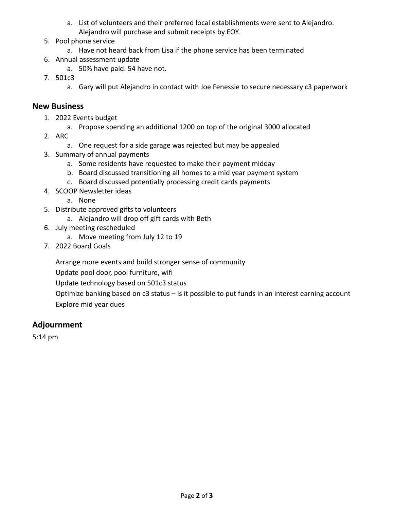- a. List of volunteers and their preferred local establishments were sent to Alejandro. Alejandro will purchase and submit receipts by EOY.
- 5. Pool phone service
	- a. Have not heard back from Lisa if the phone service has been terminated
- 6. Annual assessment update
	- a. 50% have paid. 54 have not.
- 7. 501c3
	- a. Gary will put Alejandro in contact with Joe Fenessie to secure necessary c3 paperwork

#### **New Business**

- 1. 2022 Events budget
	- a. Propose spending an additional 1200 on top of the original 3000 allocated
- 2. ARC
	- a. One request for a side garage was rejected but may be appealed
- 3. Summary of annual payments
	- a. Some residents have requested to make their payment midday
	- b. Board discussed transitioning all homes to a mid year payment system
	- c. Board discussed potentially processing credit cards payments
- 4. SCOOP Newsletter ideas
	- a. None
- 5. Distribute approved gifts to volunteers
	- a. Alejandro will drop off gift cards with Beth
- 6. July meeting rescheduled
	- a. Move meeting from July 12 to 19
- 7. 2022 Board Goals

Arrange more events and build stronger sense of community

Update pool door, pool furniture, wifi

Update technology based on 501c3 status

Optimize banking based on c3 status – is it possible to put funds in an interest earning account Explore mid year dues

#### **Adjournment**

5:14 pm